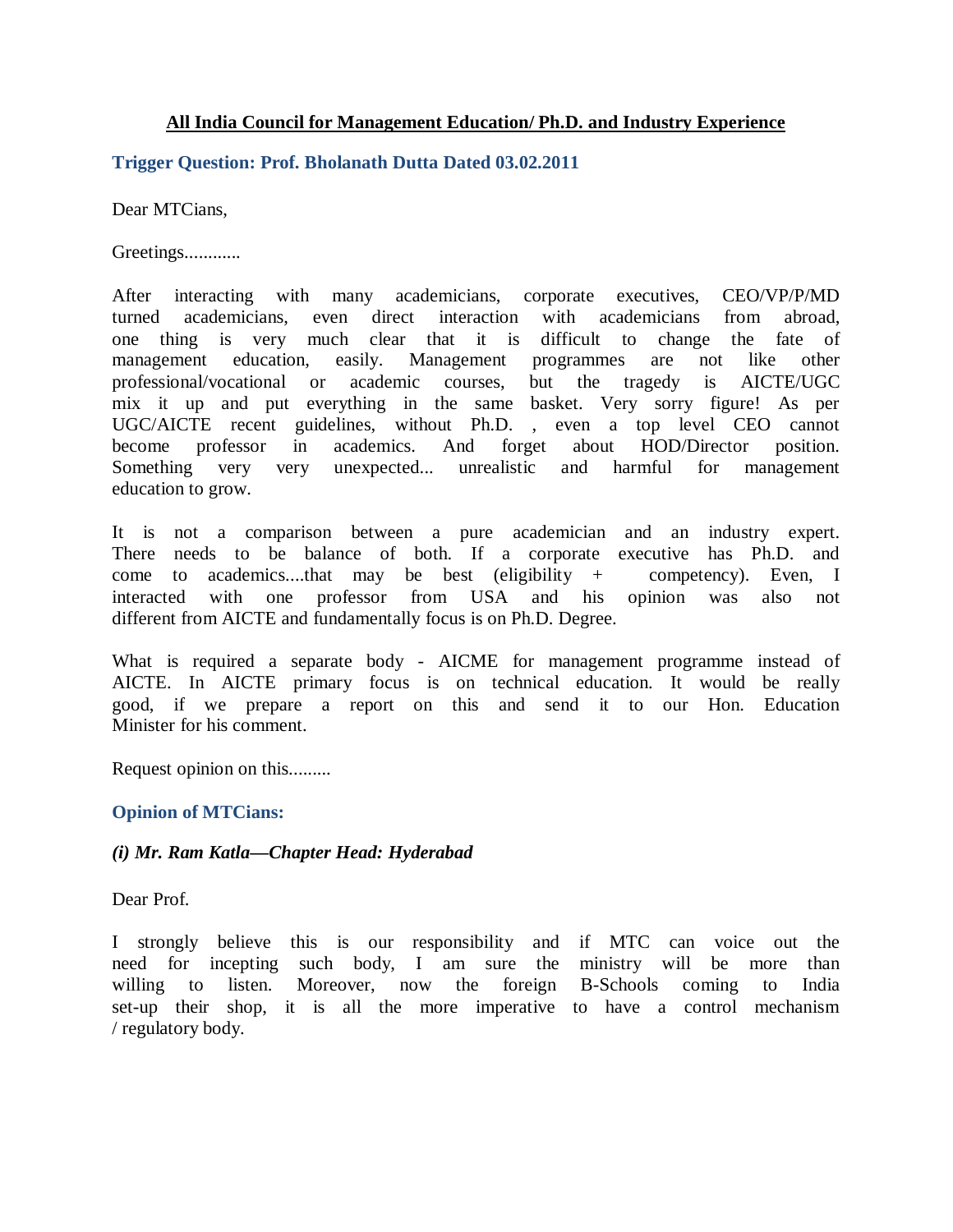## **All India Council for Management Education/ Ph.D. and Industry Experience**

## **Trigger Question: Prof. Bholanath Dutta Dated 03.02.2011**

Dear MTCians,

Greetings.............

After interacting with many academicians, corporate executives, CEO/VP/P/MD turned academicians, even direct interaction with academicians from abroad, one thing is very much clear that it is difficult to change the fate of management education, easily. Management programmes are not like other professional/vocational or academic courses, but the tragedy is AICTE/UGC mix it up and put everything in the same basket. Very sorry figure! As per UGC/AICTE recent guidelines, without Ph.D. , even a top level CEO cannot become professor in academics. And forget about HOD/Director position. Something very very unexpected... unrealistic and harmful for management education to grow.

It is not a comparison between a pure academician and an industry expert. There needs to be balance of both. If a corporate executive has Ph.D. and come to academics....that may be best (eligibility + competency). Even, I interacted with one professor from USA and his opinion was also not different from AICTE and fundamentally focus is on Ph.D. Degree.

What is required a separate body - AICME for management programme instead of AICTE. In AICTE primary focus is on technical education. It would be really good, if we prepare a report on this and send it to our Hon. Education Minister for his comment.

Request opinion on this.........

# **Opinion of MTCians:**

#### *(i) Mr. Ram Katla—Chapter Head: Hyderabad*

Dear Prof.

I strongly believe this is our responsibility and if MTC can voice out the need for incepting such body, I am sure the ministry will be more than willing to listen. Moreover, now the foreign B-Schools coming to India set-up their shop, it is all the more imperative to have a control mechanism / regulatory body.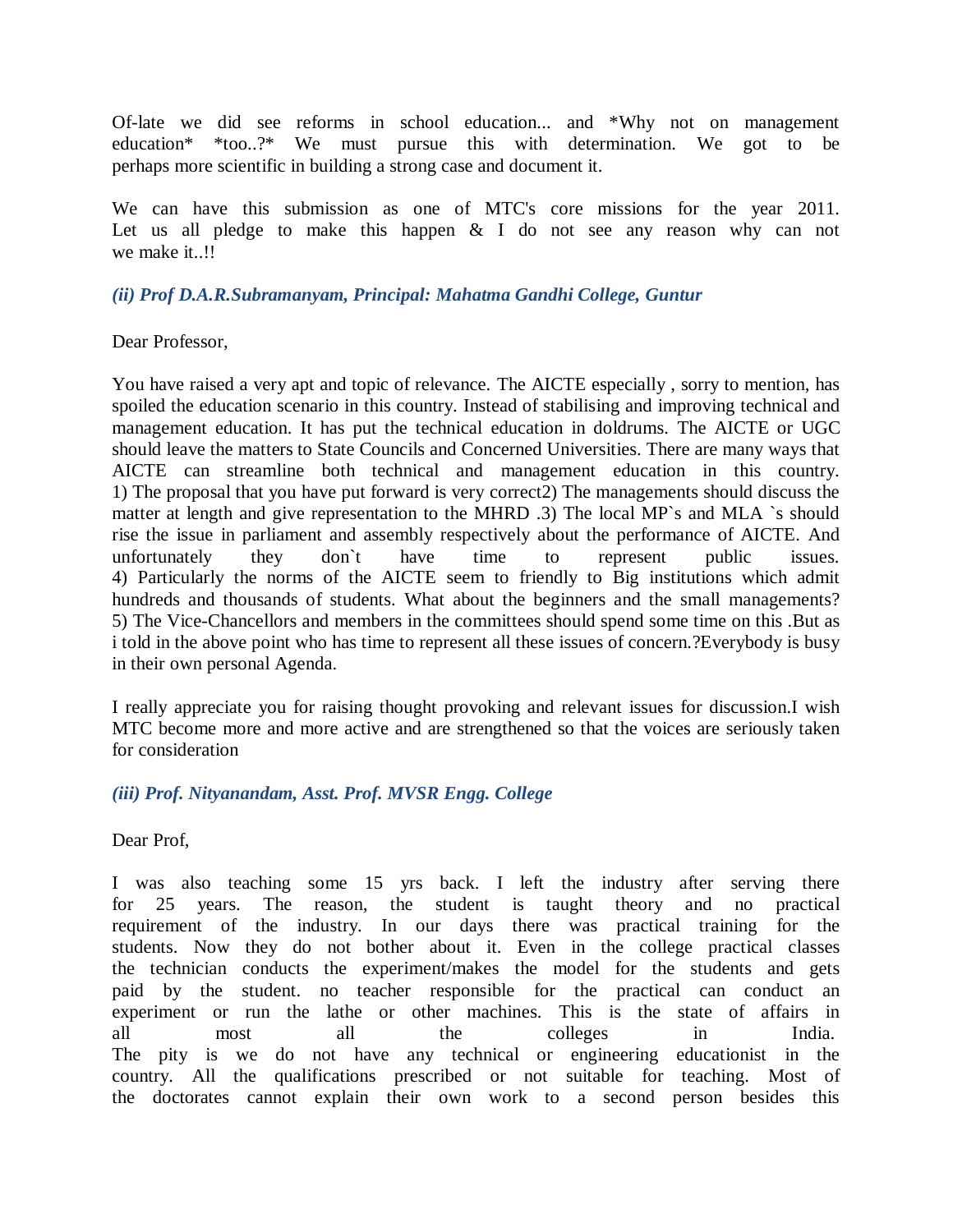Of-late we did see reforms in school education... and \*Why not on management education\* \*too..?\* We must pursue this with determination. We got to be perhaps more scientific in building a strong case and document it.

We can have this submission as one of MTC's core missions for the year 2011. Let us all pledge to make this happen  $\&$  I do not see any reason why can not we make it..!!

## *(ii) Prof D.A.R.Subramanyam, Principal: Mahatma Gandhi College, Guntur*

Dear Professor,

You have raised a very apt and topic of relevance. The AICTE especially , sorry to mention, has spoiled the education scenario in this country. Instead of stabilising and improving technical and management education. It has put the technical education in doldrums. The AICTE or UGC should leave the matters to State Councils and Concerned Universities. There are many ways that AICTE can streamline both technical and management education in this country. 1) The proposal that you have put forward is very correct2) The managements should discuss the matter at length and give representation to the MHRD .3) The local MP's and MLA 's should rise the issue in parliament and assembly respectively about the performance of AICTE. And unfortunately they don`t have time to represent public issues. 4) Particularly the norms of the AICTE seem to friendly to Big institutions which admit hundreds and thousands of students. What about the beginners and the small managements? 5) The Vice-Chancellors and members in the committees should spend some time on this .But as i told in the above point who has time to represent all these issues of concern.?Everybody is busy in their own personal Agenda.

I really appreciate you for raising thought provoking and relevant issues for discussion.I wish MTC become more and more active and are strengthened so that the voices are seriously taken for consideration

# *(iii) Prof. Nityanandam, Asst. Prof. MVSR Engg. College*

Dear Prof,

I was also teaching some 15 yrs back. I left the industry after serving there for 25 years. The reason, the student is taught theory and no practical requirement of the industry. In our days there was practical training for the students. Now they do not bother about it. Even in the college practical classes the technician conducts the experiment/makes the model for the students and gets paid by the student. no teacher responsible for the practical can conduct an experiment or run the lathe or other machines. This is the state of affairs in all most all the colleges in India. The pity is we do not have any technical or engineering educationist in the country. All the qualifications prescribed or not suitable for teaching. Most of the doctorates cannot explain their own work to a second person besides this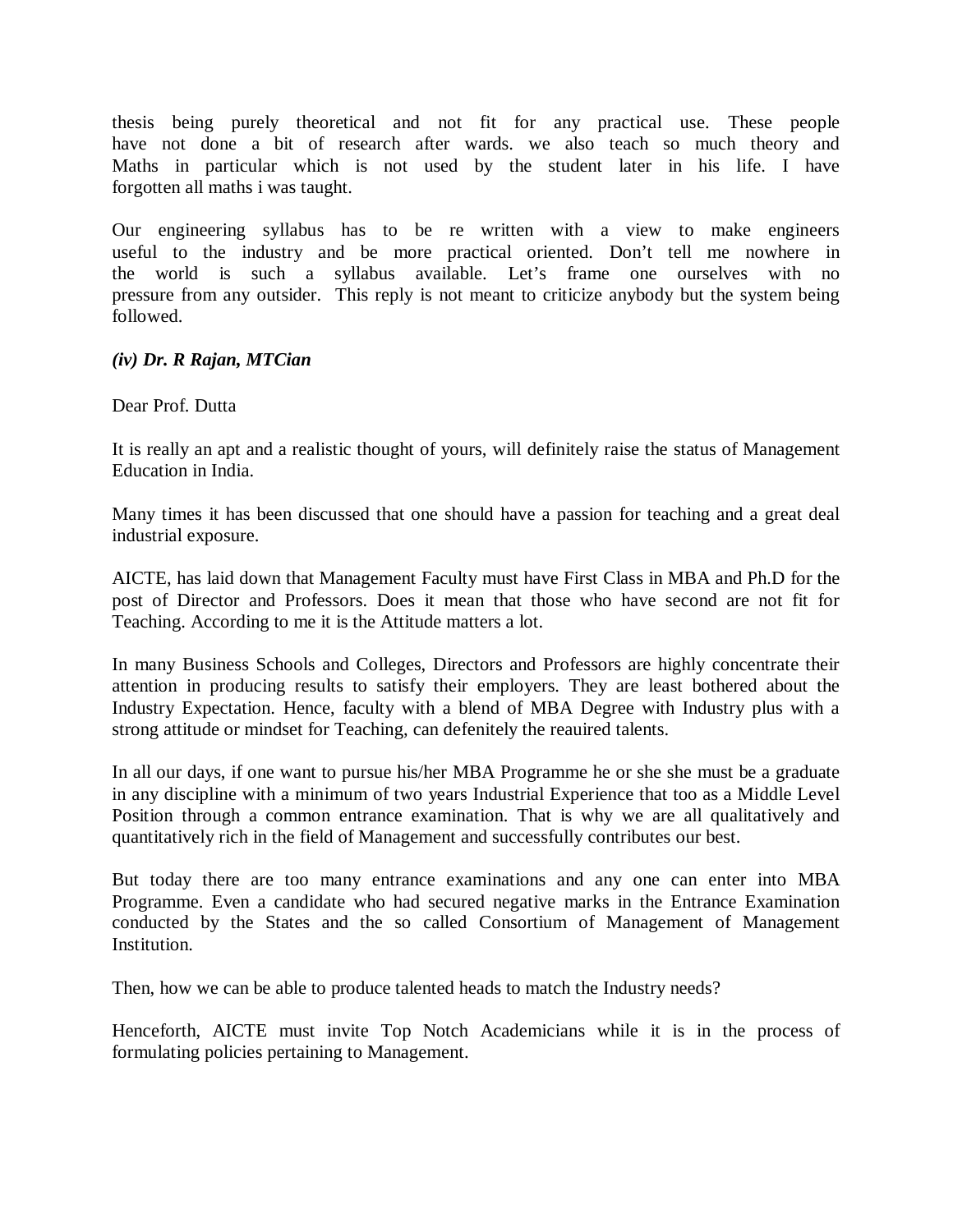thesis being purely theoretical and not fit for any practical use. These people have not done a bit of research after wards. we also teach so much theory and Maths in particular which is not used by the student later in his life. I have forgotten all maths i was taught.

Our engineering syllabus has to be re written with a view to make engineers useful to the industry and be more practical oriented. Don't tell me nowhere in the world is such a syllabus available. Let's frame one ourselves with no pressure from any outsider. This reply is not meant to criticize anybody but the system being followed.

## *(iv) Dr. R Rajan, MTCian*

Dear Prof. Dutta

It is really an apt and a realistic thought of yours, will definitely raise the status of Management Education in India.

Many times it has been discussed that one should have a passion for teaching and a great deal industrial exposure.

AICTE, has laid down that Management Faculty must have First Class in MBA and Ph.D for the post of Director and Professors. Does it mean that those who have second are not fit for Teaching. According to me it is the Attitude matters a lot.

In many Business Schools and Colleges, Directors and Professors are highly concentrate their attention in producing results to satisfy their employers. They are least bothered about the Industry Expectation. Hence, faculty with a blend of MBA Degree with Industry plus with a strong attitude or mindset for Teaching, can defenitely the reauired talents.

In all our days, if one want to pursue his/her MBA Programme he or she she must be a graduate in any discipline with a minimum of two years Industrial Experience that too as a Middle Level Position through a common entrance examination. That is why we are all qualitatively and quantitatively rich in the field of Management and successfully contributes our best.

But today there are too many entrance examinations and any one can enter into MBA Programme. Even a candidate who had secured negative marks in the Entrance Examination conducted by the States and the so called Consortium of Management of Management Institution.

Then, how we can be able to produce talented heads to match the Industry needs?

Henceforth, AICTE must invite Top Notch Academicians while it is in the process of formulating policies pertaining to Management.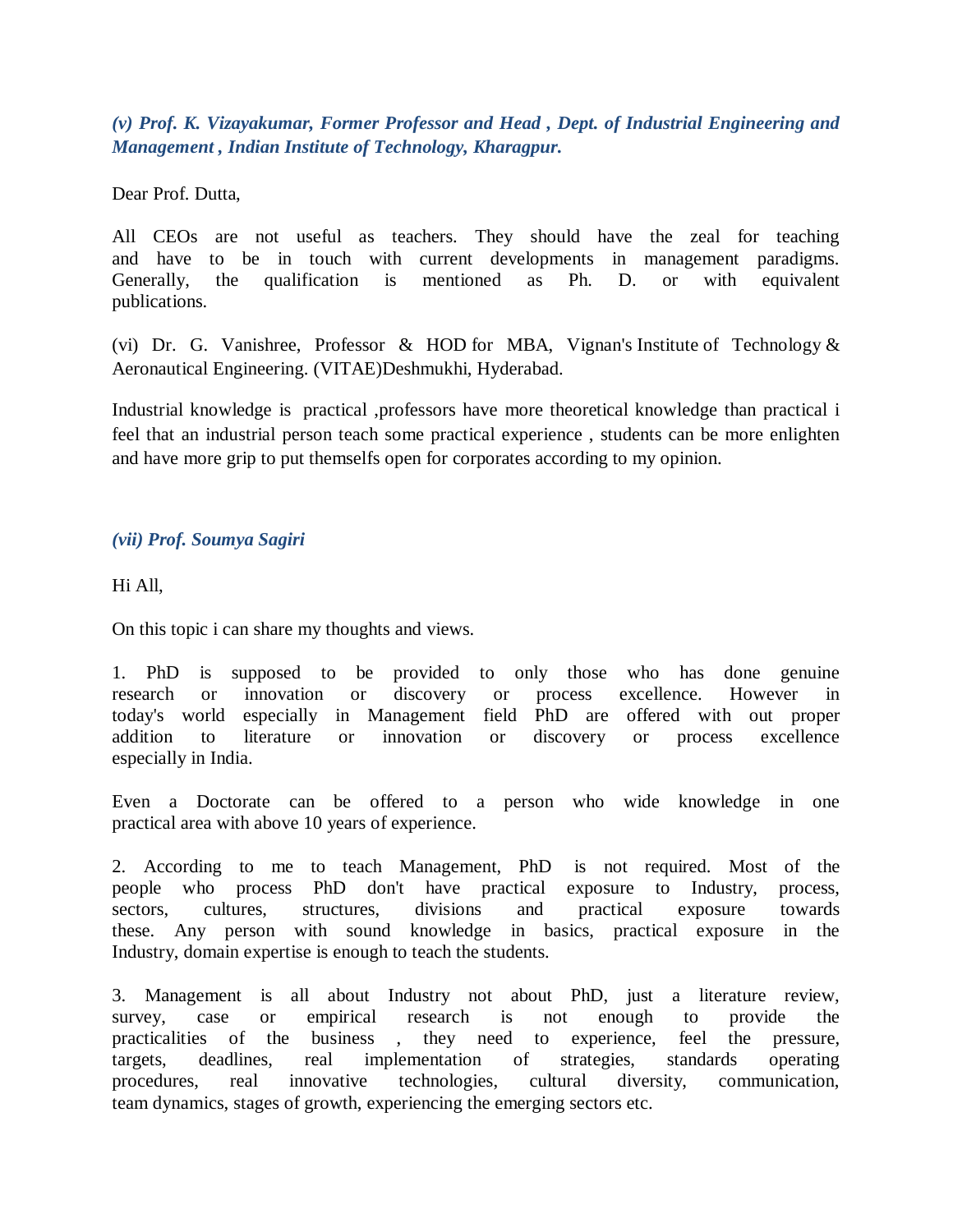*(v) Prof. K. Vizayakumar, Former Professor and Head , Dept. of Industrial Engineering and Management , Indian Institute of Technology, Kharagpur.*

Dear Prof. Dutta,

All CEOs are not useful as teachers. They should have the zeal for teaching and have to be in touch with current developments in management paradigms. Generally, the qualification is mentioned as Ph. D. or with equivalent publications.

(vi) Dr. G. Vanishree, Professor & HOD for MBA, Vignan's Institute of Technology & Aeronautical Engineering. (VITAE)Deshmukhi, Hyderabad.

Industrial knowledge is practical ,professors have more theoretical knowledge than practical i feel that an industrial person teach some practical experience , students can be more enlighten and have more grip to put themselfs open for corporates according to my opinion.

## *(vii) Prof. Soumya Sagiri*

Hi All,

On this topic i can share my thoughts and views.

1. PhD is supposed to be provided to only those who has done genuine research or innovation or discovery or process excellence. However in today's world especially in Management field PhD are offered with out proper addition to literature or innovation or discovery or process excellence especially in India.

Even a Doctorate can be offered to a person who wide knowledge in one practical area with above 10 years of experience.

2. According to me to teach Management, PhD is not required. Most of the people who process PhD don't have practical exposure to Industry, process, sectors, cultures, structures, divisions and practical exposure towards these. Any person with sound knowledge in basics, practical exposure in the Industry, domain expertise is enough to teach the students.

3. Management is all about Industry not about PhD, just a literature review, survey, case or empirical research is not enough to provide the practicalities of the business , they need to experience, feel the pressure, targets, deadlines, real implementation of strategies, standards operating procedures, real innovative technologies, cultural diversity, communication, team dynamics, stages of growth, experiencing the emerging sectors etc.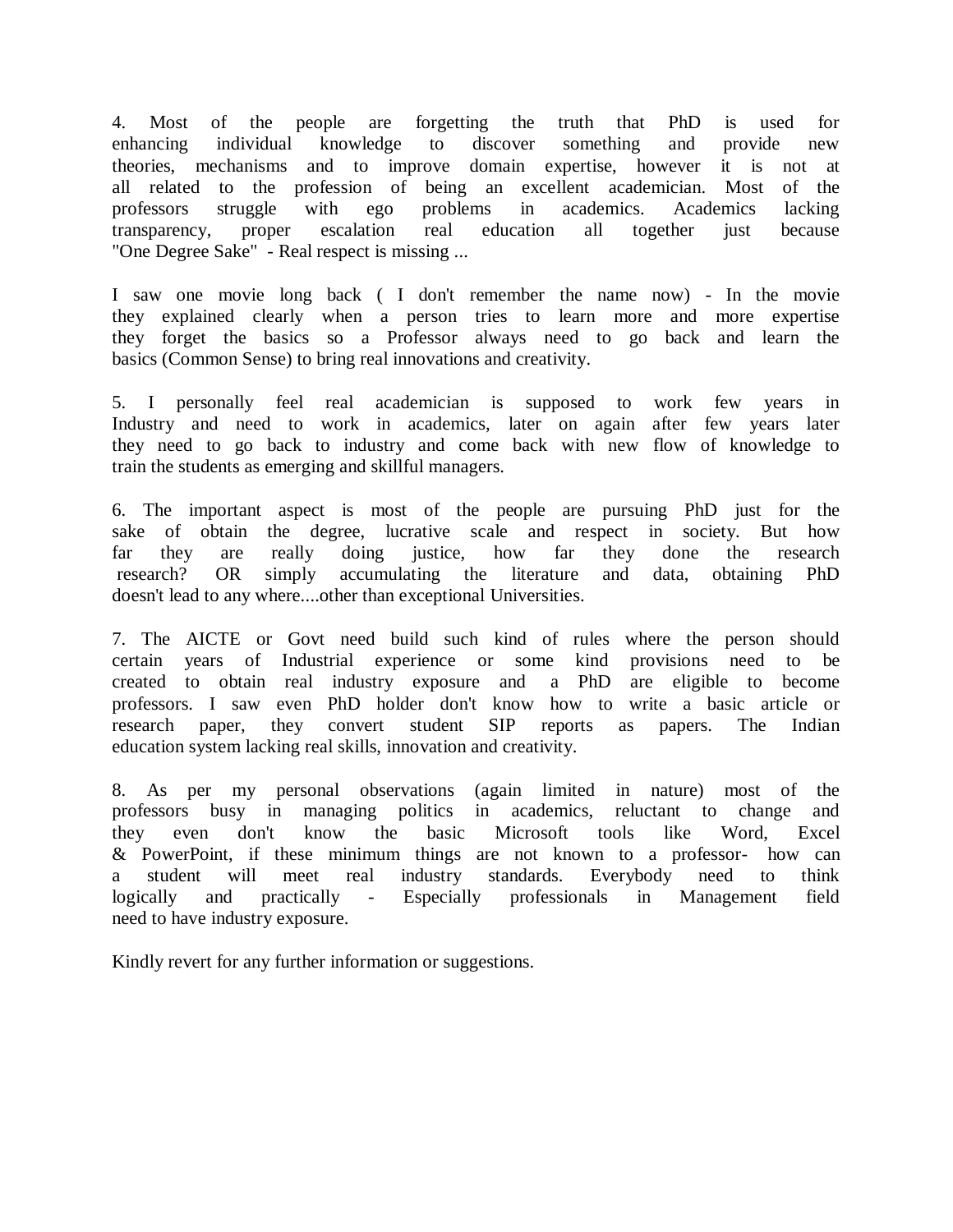4. Most of the people are forgetting the truth that PhD is used for enhancing individual knowledge to discover something and provide new enhancing individual knowledge to discover something and provide new theories, mechanisms and to improve domain expertise, however it is not at all related to the profession of being an excellent academician. Most of the professors struggle with ego problems in academics. Academics lacking transparency, proper escalation real education all together just because "One Degree Sake" - Real respect is missing ...

I saw one movie long back ( I don't remember the name now) - In the movie they explained clearly when a person tries to learn more and more expertise they forget the basics so a Professor always need to go back and learn the basics (Common Sense) to bring real innovations and creativity.

5. I personally feel real academician is supposed to work few years in Industry and need to work in academics, later on again after few years later they need to go back to industry and come back with new flow of knowledge to train the students as emerging and skillful managers.

6. The important aspect is most of the people are pursuing PhD just for the sake of obtain the degree, lucrative scale and respect in society. But how far they are really doing justice, how far they done the research research? OR simply accumulating the literature and data, obtaining PhD doesn't lead to any where....other than exceptional Universities.

7. The AICTE or Govt need build such kind of rules where the person should certain years of Industrial experience or some kind provisions need to be created to obtain real industry exposure and a PhD are eligible to become professors. I saw even PhD holder don't know how to write a basic article or research paper, they convert student SIP reports as papers. The Indian education system lacking real skills, innovation and creativity.

8. As per my personal observations (again limited in nature) most of the professors busy in managing politics in academics, reluctant to change and they even don't know the basic Microsoft tools like Word, Excel & PowerPoint, if these minimum things are not known to a professor- how can a student will meet real industry standards. Everybody need to think logically and practically - Especially professionals in Management field need to have industry exposure.

Kindly revert for any further information or suggestions.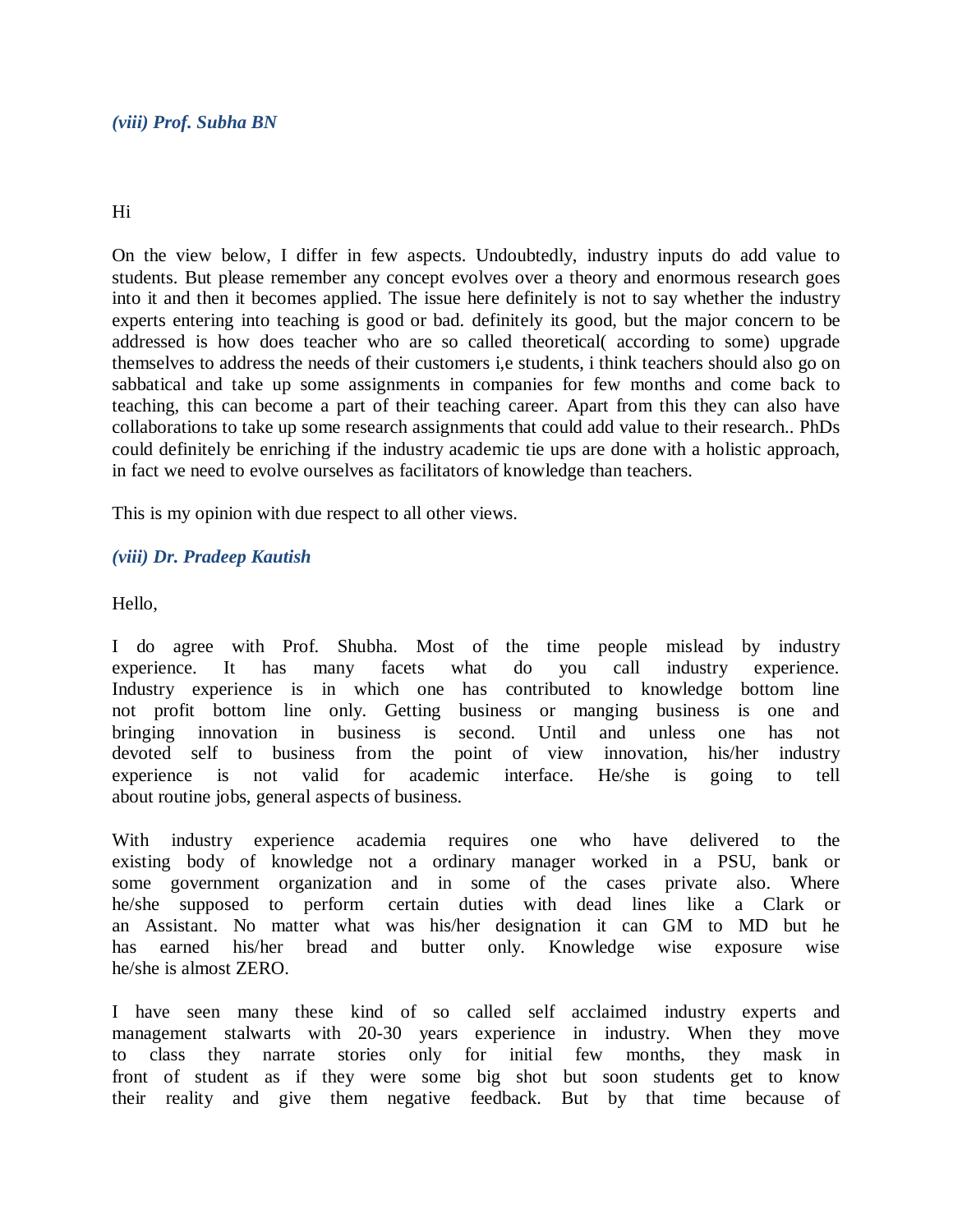## Hi

On the view below, I differ in few aspects. Undoubtedly, industry inputs do add value to students. But please remember any concept evolves over a theory and enormous research goes into it and then it becomes applied. The issue here definitely is not to say whether the industry experts entering into teaching is good or bad. definitely its good, but the major concern to be addressed is how does teacher who are so called theoretical( according to some) upgrade themselves to address the needs of their customers i,e students, i think teachers should also go on sabbatical and take up some assignments in companies for few months and come back to teaching, this can become a part of their teaching career. Apart from this they can also have collaborations to take up some research assignments that could add value to their research.. PhDs could definitely be enriching if the industry academic tie ups are done with a holistic approach, in fact we need to evolve ourselves as facilitators of knowledge than teachers.

This is my opinion with due respect to all other views.

# *(viii) Dr. Pradeep Kautish*

Hello,

I do agree with Prof. Shubha. Most of the time people mislead by industry experience. It has many facets what do you call industry experience. Industry experience is in which one has contributed to knowledge bottom line not profit bottom line only. Getting business or manging business is one and bringing innovation in business is second. Until and unless one has not devoted self to business from the point of view innovation, his/her industry experience is not valid for academic interface. He/she is going to tell about routine jobs, general aspects of business.

With industry experience academia requires one who have delivered to the existing body of knowledge not a ordinary manager worked in a PSU, bank or some government organization and in some of the cases private also. Where he/she supposed to perform certain duties with dead lines like a Clark or an Assistant. No matter what was his/her designation it can GM to MD but he has earned his/her bread and butter only. Knowledge wise exposure wise he/she is almost ZERO.

I have seen many these kind of so called self acclaimed industry experts and management stalwarts with 20-30 years experience in industry. When they move to class they narrate stories only for initial few months, they mask in front of student as if they were some big shot but soon students get to know their reality and give them negative feedback. But by that time because of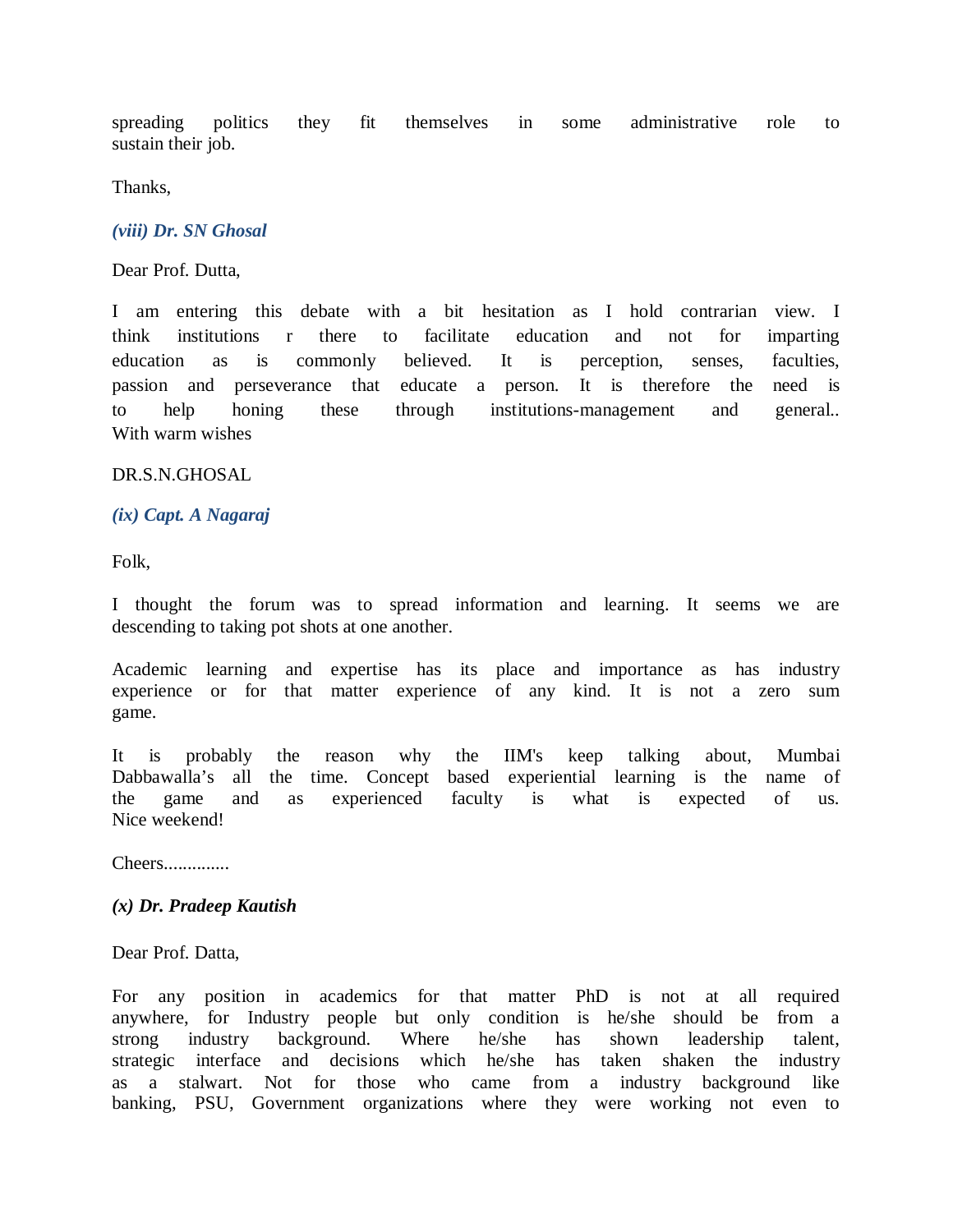spreading politics they fit themselves in some administrative role to sustain their job.

Thanks,

*(viii) Dr. SN Ghosal*

Dear Prof. Dutta,

I am entering this debate with a bit hesitation as I hold contrarian view. I think institutions r there to facilitate education and not for imparting education as is commonly believed. It is perception, senses, faculties, passion and perseverance that educate a person. It is therefore the need is to help honing these through institutions-management and general.. With warm wishes

DR.S.N.GHOSAL

#### *(ix) Capt. A Nagaraj*

Folk,

I thought the forum was to spread information and learning. It seems we are descending to taking pot shots at one another.

Academic learning and expertise has its place and importance as has industry experience or for that matter experience of any kind. It is not a zero sum game.

It is probably the reason why the IIM's keep talking about, Mumbai Dabbawalla's all the time. Concept based experiential learning is the name of the game and as experienced faculty is what is expected of us. Nice weekend!

Cheers..............

#### *(x) Dr. Pradeep Kautish*

Dear Prof. Datta,

For any position in academics for that matter PhD is not at all required anywhere, for Industry people but only condition is he/she should be from a strong industry background. Where he/she has shown leadership talent, strategic interface and decisions which he/she has taken shaken the industry as a stalwart. Not for those who came from a industry background like banking, PSU, Government organizations where they were working not even to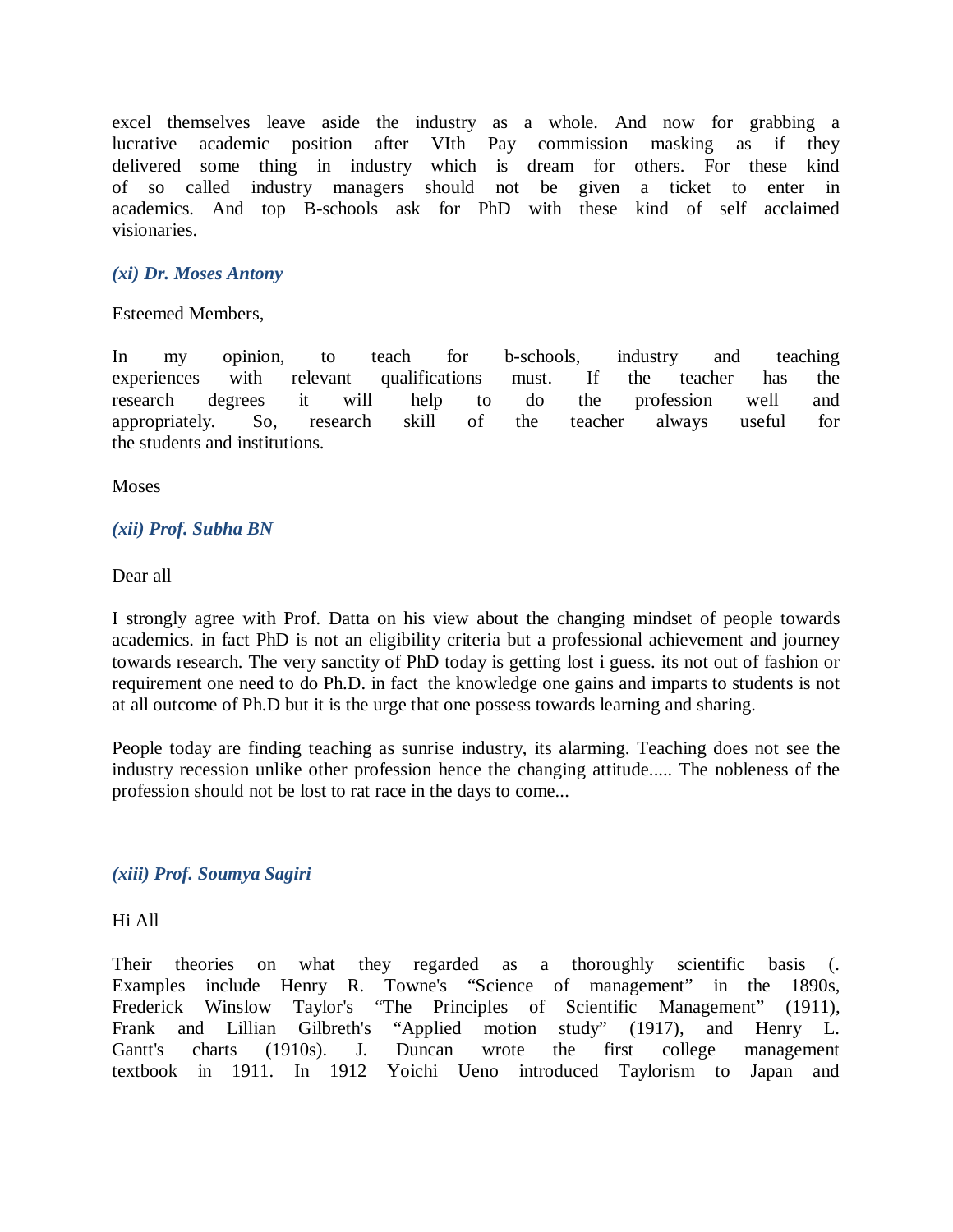excel themselves leave aside the industry as a whole. And now for grabbing a lucrative academic position after VIth Pay commission masking as if they delivered some thing in industry which is dream for others. For these kind of so called industry managers should not be given a ticket to enter in academics. And top B-schools ask for PhD with these kind of self acclaimed visionaries.

## *(xi) Dr. Moses Antony*

Esteemed Members,

In my opinion, to teach for b-schools, industry and teaching experiences with relevant qualifications must. If the teacher has the research degrees it will help to do the profession well and appropriately. So, research skill of the teacher always useful for the students and institutions.

**Moses** 

#### *(xii) Prof. Subha BN*

Dear all

I strongly agree with Prof. Datta on his view about the changing mindset of people towards academics. in fact PhD is not an eligibility criteria but a professional achievement and journey towards research. The very sanctity of PhD today is getting lost i guess. its not out of fashion or requirement one need to do Ph.D. in fact the knowledge one gains and imparts to students is not at all outcome of Ph.D but it is the urge that one possess towards learning and sharing.

People today are finding teaching as sunrise industry, its alarming. Teaching does not see the industry recession unlike other profession hence the changing attitude..... The nobleness of the profession should not be lost to rat race in the days to come...

#### *(xiii) Prof. Soumya Sagiri*

Hi All

Their theories on what they regarded as a thoroughly scientific basis (. Examples include Henry R. Towne's "Science of management" in the 1890s, Frederick Winslow Taylor's "The Principles of Scientific Management" (1911), Frank and Lillian Gilbreth's "Applied motion study" (1917), and Henry L. Gantt's charts (1910s). J. Duncan wrote the first college management textbook in 1911. In 1912 Yoichi Ueno introduced Taylorism to Japan and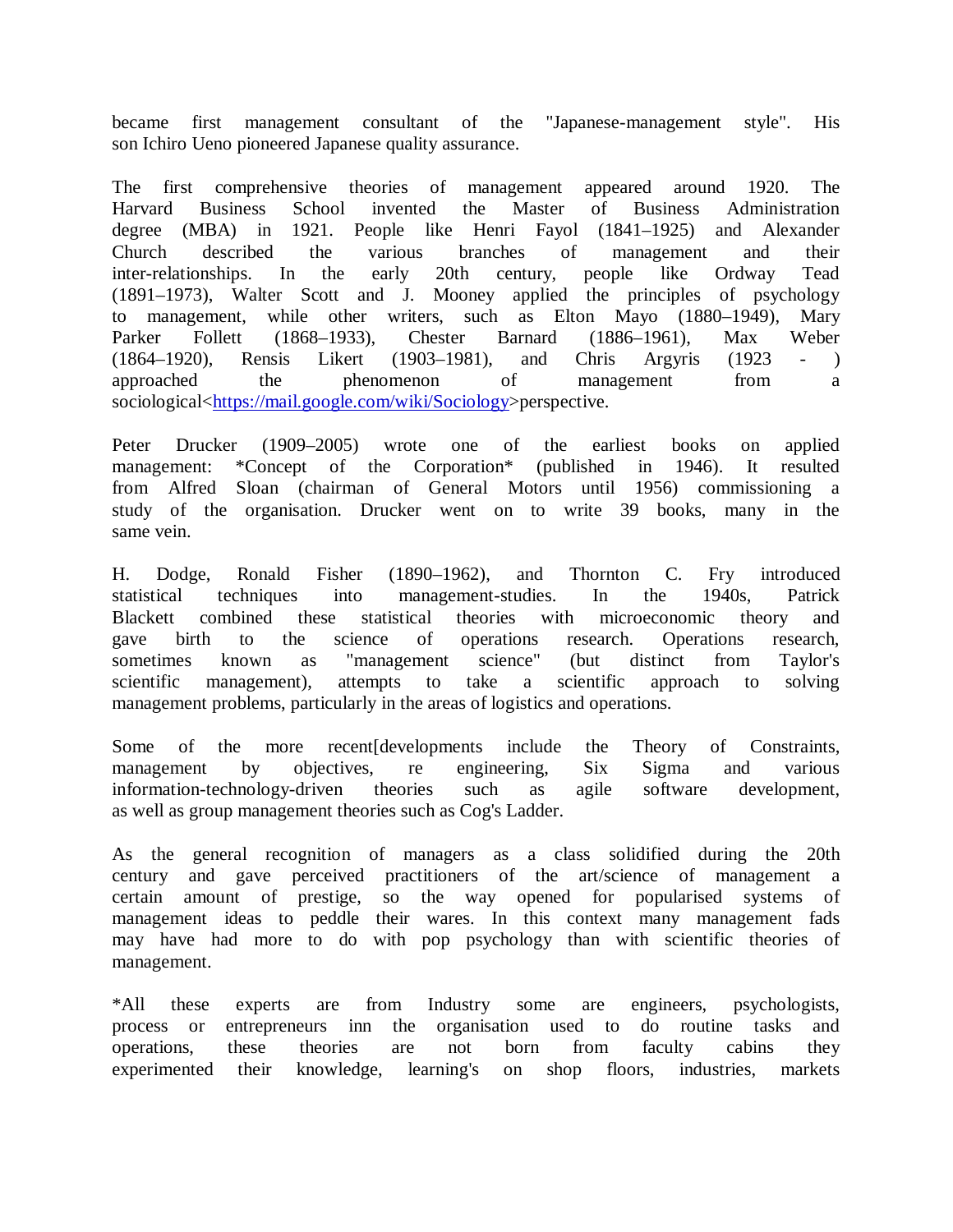became first management consultant of the "Japanese-management style". His son Ichiro Ueno pioneered Japanese quality assurance.

The first comprehensive theories of management appeared around 1920. The Harvard Business School invented the Master of Business Administration degree (MBA) in 1921. People like Henri Fayol (1841–1925) and Alexander Church described the various branches of management and their inter-relationships. In the early 20th century, people like Ordway Tead (1891–1973), Walter Scott and J. Mooney applied the principles of psychology to management, while other writers, such as Elton Mayo (1880–1949), Mary Parker Follett (1868–1933), Chester Barnard (1886–1961), Max Weber (1864–1920), Rensis Likert (1903–1981), and Chris Argyris (1923 - ) approached the phenomenon of management from a sociological<https://mail.google.com/wiki/Sociology>perspective.

Peter Drucker (1909–2005) wrote one of the earliest books on applied management: \*Concept of the Corporation\* (published in 1946). It resulted from Alfred Sloan (chairman of General Motors until 1956) commissioning a study of the organisation. Drucker went on to write 39 books, many in the same vein.

H. Dodge, Ronald Fisher (1890–1962), and Thornton C. Fry introduced statistical techniques into management-studies. In the 1940s, Patrick Blackett combined these statistical theories with microeconomic theory and gave birth to the science of operations research. Operations research, sometimes known as "management science" (but distinct from Taylor's scientific management), attempts to take a scientific approach to solving management problems, particularly in the areas of logistics and operations.

Some of the more recent[developments include the Theory of Constraints, management by objectives, re engineering, Six Sigma and various information-technology-driven theories such as agile software development, as well as group management theories such as Cog's Ladder.

As the general recognition of managers as a class solidified during the 20th century and gave perceived practitioners of the art/science of management a certain amount of prestige, so the way opened for popularised systems of management ideas to peddle their wares. In this context many management fads may have had more to do with pop psychology than with scientific theories of management.

\*All these experts are from Industry some are engineers, psychologists, process or entrepreneurs inn the organisation used to do routine tasks and operations, these theories are not born from faculty cabins they experimented their knowledge, learning's on shop floors, industries, markets